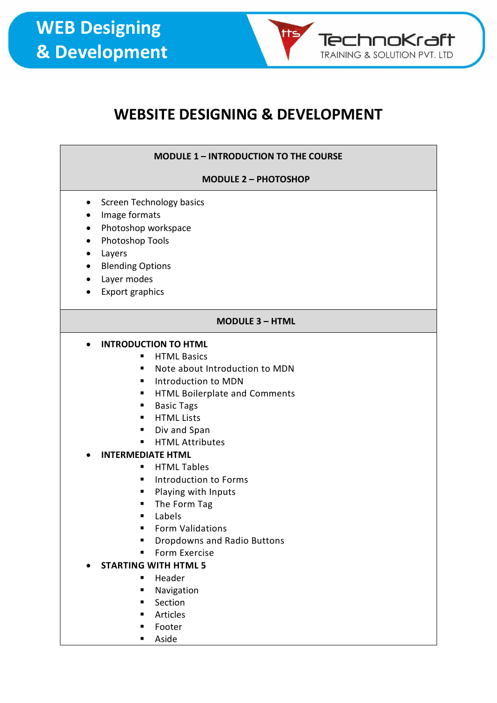

### **WEBSITE DESIGNING & DEVELOPMENT**

| <b>MODULE 1 - INTRODUCTION TO THE COURSE</b>                                                                                                                                                                                                                                                                                                                                                                                                                                                |  |  |
|---------------------------------------------------------------------------------------------------------------------------------------------------------------------------------------------------------------------------------------------------------------------------------------------------------------------------------------------------------------------------------------------------------------------------------------------------------------------------------------------|--|--|
| <b>MODULE 2 - PHOTOSHOP</b>                                                                                                                                                                                                                                                                                                                                                                                                                                                                 |  |  |
| Screen Technology basics<br>Image formats<br>Photoshop workspace<br>Photoshop Tools<br>Layers<br><b>Blending Options</b><br>Layer modes<br><b>Export graphics</b>                                                                                                                                                                                                                                                                                                                           |  |  |
| <b>MODULE 3 - HTML</b>                                                                                                                                                                                                                                                                                                                                                                                                                                                                      |  |  |
| <b>INTRODUCTION TO HTML</b><br>٠<br><b>HTML Basics</b><br>٠<br>Note about Introduction to MDN<br>٠<br>Introduction to MDN<br>٠<br>HTML Boilerplate and Comments<br>п<br><b>Basic Tags</b><br><b>HTML Lists</b><br>п<br>Div and Span<br>٠<br><b>HTML Attributes</b><br>п<br><b>INTERMEDIATE HTML</b><br><b>HTML Tables</b><br>٠<br>Introduction to Forms<br>ш<br>Playing with Inputs<br>п<br>The Form Tag<br>п<br>Labels<br><b>Form Validations</b><br>п<br>Dropdowns and Radio Buttons<br>٠ |  |  |
| Form Exercise<br>п<br><b>STARTING WITH HTML 5</b><br>Header<br>п<br>Navigation<br>п<br>Section<br>п<br>Articles<br>п<br>Footer<br>п<br>Aside<br>п                                                                                                                                                                                                                                                                                                                                           |  |  |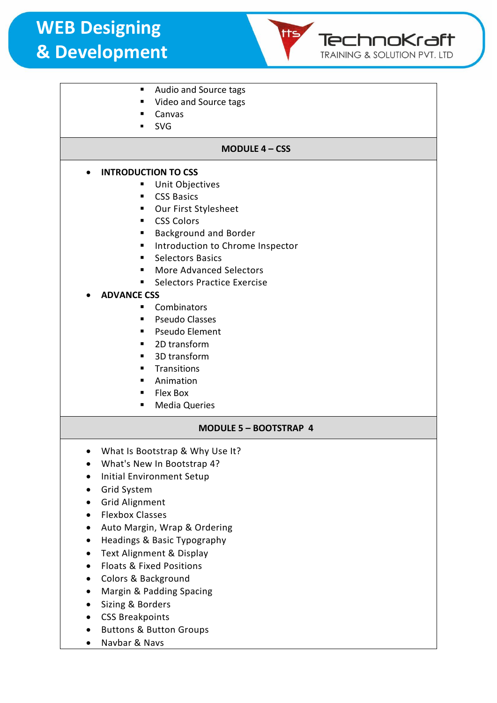## **WEB Designing & Development**



#### ■ Audio and Source tags

- Video and Source tags
- Canvas
- SVG

#### **MODULE 4 – CSS**

#### • **INTRODUCTION TO CSS**

- Unit Objectives
- CSS Basics
- Our First Stylesheet
- CSS Colors
- Background and Border
- Introduction to Chrome Inspector
- Selectors Basics
- More Advanced Selectors
- Selectors Practice Exercise
- **ADVANCE CSS**
	- Combinators
	- Pseudo Classes
	- Pseudo Element
	- 2D transform
	- 3D transform
	- Transitions
	- Animation
	- Flex Box
	- Media Queries

#### **MODULE 5 – BOOTSTRAP 4**

- What Is Bootstrap & Why Use It?
- What's New In Bootstrap 4?
- Initial Environment Setup
- Grid System
- Grid Alignment
- Flexbox Classes
- Auto Margin, Wrap & Ordering
- Headings & Basic Typography
- Text Alignment & Display
- Floats & Fixed Positions
- Colors & Background
- Margin & Padding Spacing
- Sizing & Borders
- CSS Breakpoints
- Buttons & Button Groups
- Navbar & Navs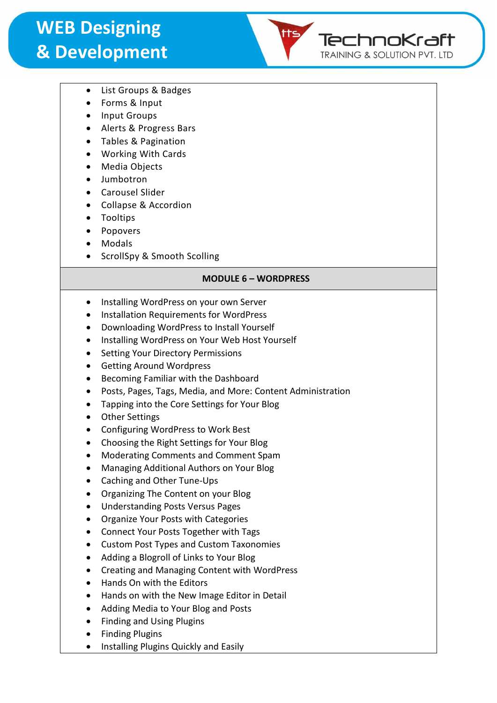- List Groups & Badges
- Forms & Input
- Input Groups
- Alerts & Progress Bars
- Tables & Pagination
- Working With Cards
- Media Objects
- Jumbotron
- Carousel Slider
- Collapse & Accordion
- Tooltips
- Popovers
- Modals
- ScrollSpy & Smooth Scolling

#### **MODULE 6 – WORDPRESS**

TechnoKraft **TRAINING & SOLUTION PVT. LTD** 

- Installing WordPress on your own Server
- Installation Requirements for WordPress
- Downloading WordPress to Install Yourself
- Installing WordPress on Your Web Host Yourself
- Setting Your Directory Permissions
- Getting Around Wordpress
- Becoming Familiar with the Dashboard
- Posts, Pages, Tags, Media, and More: Content Administration
- Tapping into the Core Settings for Your Blog
- Other Settings
- Configuring WordPress to Work Best
- Choosing the Right Settings for Your Blog
- Moderating Comments and Comment Spam
- Managing Additional Authors on Your Blog
- Caching and Other Tune-Ups
- Organizing The Content on your Blog
- Understanding Posts Versus Pages
- Organize Your Posts with Categories
- Connect Your Posts Together with Tags
- Custom Post Types and Custom Taxonomies
- Adding a Blogroll of Links to Your Blog
- Creating and Managing Content with WordPress
- Hands On with the Editors
- Hands on with the New Image Editor in Detail
- Adding Media to Your Blog and Posts
- Finding and Using Plugins
- Finding Plugins
- Installing Plugins Quickly and Easily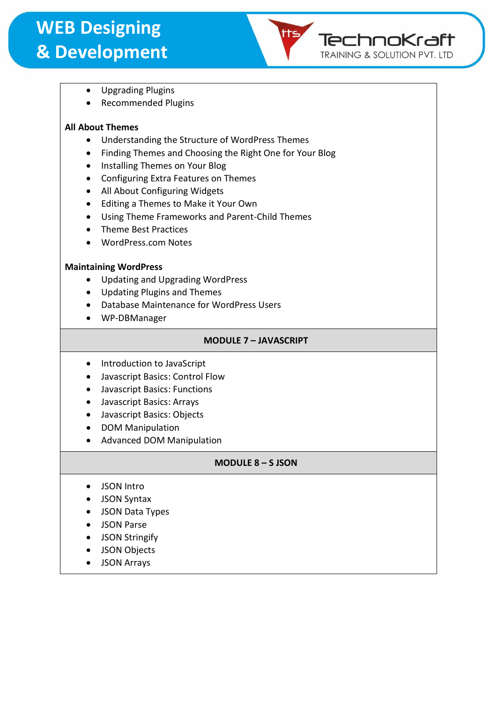

- Upgrading Plugins
- Recommended Plugins

#### **All About Themes**

- Understanding the Structure of WordPress Themes
- Finding Themes and Choosing the Right One for Your Blog
- Installing Themes on Your Blog
- Configuring Extra Features on Themes
- All About Configuring Widgets
- Editing a Themes to Make it Your Own
- Using Theme Frameworks and Parent-Child Themes
- Theme Best Practices
- WordPress.com Notes

#### **Maintaining WordPress**

- Updating and Upgrading WordPress
- Updating Plugins and Themes
- Database Maintenance for WordPress Users
- WP-DBManager

#### **MODULE 7 – JAVASCRIPT**

- Introduction to JavaScript
- Javascript Basics: Control Flow
- Javascript Basics: Functions
- Javascript Basics: Arrays
- Javascript Basics: Objects
- DOM Manipulation
- Advanced DOM Manipulation

#### **MODULE 8 – S JSON**

- JSON Intro
- JSON Syntax
- JSON Data Types
- JSON Parse
- JSON Stringify
- JSON Objects
- JSON Arrays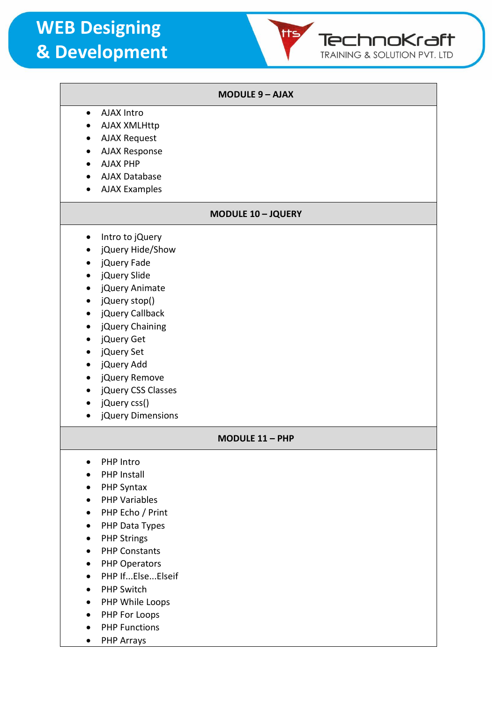## **WEB Designing & Development**



| <b>MODULE 9 - AJAX</b>                                                                                                                                                                                                                                                                                                                                                                                                          |  |
|---------------------------------------------------------------------------------------------------------------------------------------------------------------------------------------------------------------------------------------------------------------------------------------------------------------------------------------------------------------------------------------------------------------------------------|--|
| <b>AJAX Intro</b><br>$\bullet$<br><b>AJAX XMLHttp</b><br><b>AJAX Request</b><br><b>AJAX Response</b><br><b>AJAX PHP</b><br><b>AJAX Database</b><br><b>AJAX Examples</b>                                                                                                                                                                                                                                                         |  |
| <b>MODULE 10 - JQUERY</b>                                                                                                                                                                                                                                                                                                                                                                                                       |  |
| Intro to jQuery<br>$\bullet$<br>jQuery Hide/Show<br>$\bullet$<br>jQuery Fade<br>jQuery Slide<br>$\bullet$<br>jQuery Animate<br>$\bullet$<br>jQuery stop()<br>$\bullet$<br>jQuery Callback<br>$\bullet$<br>jQuery Chaining<br>$\bullet$<br>jQuery Get<br>$\bullet$<br>jQuery Set<br>$\bullet$<br>jQuery Add<br>• jQuery Remove<br>jQuery CSS Classes<br>$\bullet$<br>jQuery css()<br>$\bullet$<br>jQuery Dimensions<br>$\bullet$ |  |
| MODULE 11 - PHP                                                                                                                                                                                                                                                                                                                                                                                                                 |  |
| PHP Intro<br>●<br><b>PHP Install</b><br>PHP Syntax<br><b>PHP Variables</b><br>PHP Echo / Print<br>PHP Data Types<br>$\bullet$<br><b>PHP Strings</b><br><b>PHP Constants</b><br><b>PHP Operators</b><br>PHP IfElseElseif<br><b>PHP Switch</b><br>PHP While Loops<br>PHP For Loops<br><b>PHP Functions</b><br><b>PHP Arrays</b>                                                                                                   |  |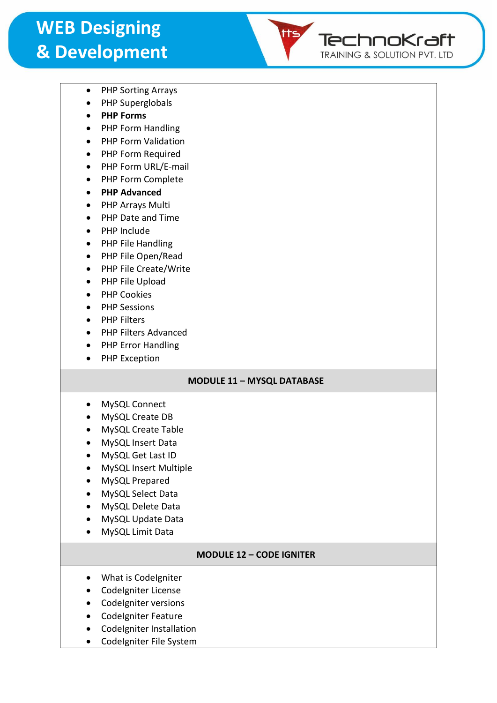tts TechnoKraft **TRAINING & SOLUTION PVT. LTD** 

- PHP Sorting Arrays
- PHP Superglobals
- **PHP Forms**
- PHP Form Handling
- PHP Form Validation
- PHP Form Required
- PHP Form URL/E-mail
- PHP Form Complete
- **PHP Advanced**
- PHP Arrays Multi
- PHP Date and Time
- PHP Include
- PHP File Handling
- PHP File Open/Read
- PHP File Create/Write
- PHP File Upload
- PHP Cookies
- PHP Sessions
- PHP Filters
- PHP Filters Advanced
- PHP Error Handling
- PHP Exception

#### **MODULE 11 – MYSQL DATABASE**

- MySQL Connect
- MySQL Create DB
- MySQL Create Table
- MySQL Insert Data
- MySQL Get Last ID
- MySQL Insert Multiple
- MySQL Prepared
- MySQL Select Data
- MySQL Delete Data
- MySQL Update Data
- MySQL Limit Data

#### **MODULE 12 – CODE IGNITER**

- What is CodeIgniter
- CodeIgniter License
- CodeIgniter versions
- CodeIgniter Feature
- CodeIgniter Installation
- CodeIgniter File System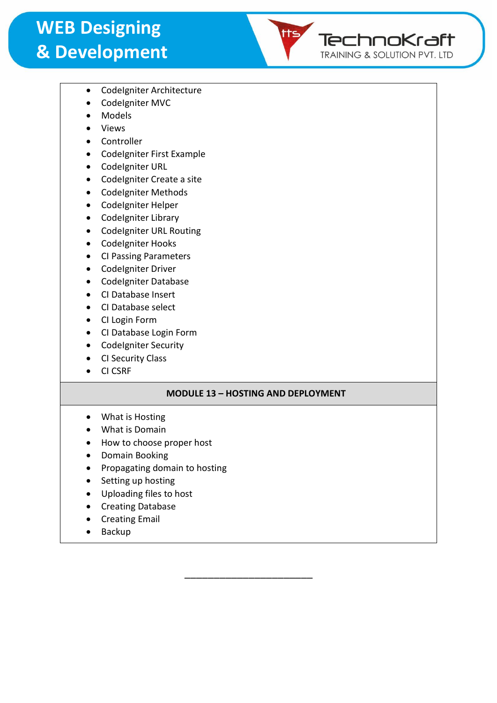- CodeIgniter Architecture
- CodeIgniter MVC
- Models
- Views
- Controller
- CodeIgniter First Example
- CodeIgniter URL
- CodeIgniter Create a site
- CodeIgniter Methods
- CodeIgniter Helper
- CodeIgniter Library
- CodeIgniter URL Routing
- CodeIgniter Hooks
- CI Passing Parameters
- CodeIgniter Driver
- CodeIgniter Database
- CI Database Insert
- CI Database select
- CI Login Form
- CI Database Login Form
- CodeIgniter Security
- CI Security Class
- CI CSRF

#### **MODULE 13 – HOSTING AND DEPLOYMENT**

tts

**TechnoKraft TRAINING & SOLUTION PVT. LTD** 

\_\_\_\_\_\_\_\_\_\_\_\_\_\_\_\_\_\_\_\_\_\_

- What is Hosting
- What is Domain
- How to choose proper host
- Domain Booking
- Propagating domain to hosting
- Setting up hosting
- Uploading files to host
- Creating Database
- Creating Email
- Backup